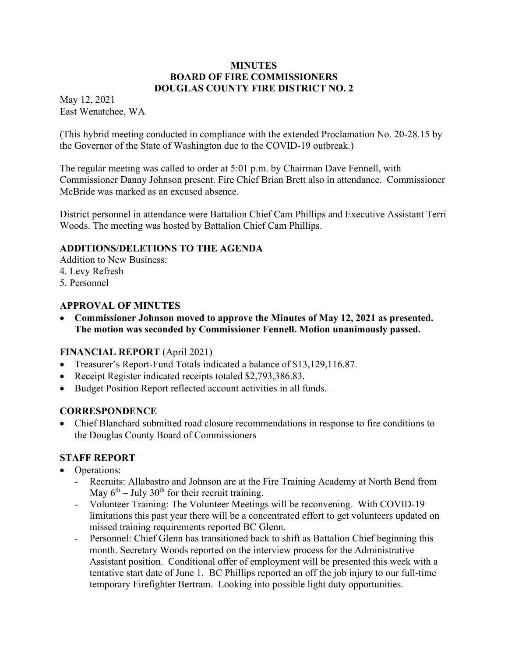#### **MINUTES BOARD OF FIRE COMMISSIONERS DOUGLAS COUNTY FIRE DISTRICT NO. 2**

May 12, 2021 East Wenatchee, WA

(This hybrid meeting conducted in compliance with the extended Proclamation No. 20-28.15 by the Governor of the State of Washington due to the COVID-19 outbreak.)

The regular meeting was called to order at 5:01 p.m. by Chairman Dave Fennell, with Commissioner Danny Johnson present. Fire Chief Brian Brett also in attendance. Commissioner McBride was marked as an excused absence.

District personnel in attendance were Battalion Chief Cam Phillips and Executive Assistant Terri Woods. The meeting was hosted by Battalion Chief Cam Phillips.

## **ADDITIONS/DELETIONS TO THE AGENDA**

Addition to New Business:

- 4. Levy Refresh
- 5. Personnel

#### **APPROVAL OF MINUTES**

 **Commissioner Johnson moved to approve the Minutes of May 12, 2021 as presented. The motion was seconded by Commissioner Fennell. Motion unanimously passed.** 

## **FINANCIAL REPORT** (April 2021)

- Treasurer's Report-Fund Totals indicated a balance of \$13,129,116.87.
- Receipt Register indicated receipts totaled \$2,793,386.83.
- Budget Position Report reflected account activities in all funds.

#### **CORRESPONDENCE**

 Chief Blanchard submitted road closure recommendations in response to fire conditions to the Douglas County Board of Commissioners

## **STAFF REPORT**

- Operations:
	- Recruits: Allabastro and Johnson are at the Fire Training Academy at North Bend from May  $6<sup>th</sup>$  – July 30<sup>th</sup> for their recruit training.
	- Volunteer Training: The Volunteer Meetings will be reconvening. With COVID-19 limitations this past year there will be a concentrated effort to get volunteers updated on missed training requirements reported BC Glenn.
	- Personnel: Chief Glenn has transitioned back to shift as Battalion Chief beginning this month. Secretary Woods reported on the interview process for the Administrative Assistant position. Conditional offer of employment will be presented this week with a tentative start date of June 1. BC Phillips reported an off the job injury to our full-time temporary Firefighter Bertram. Looking into possible light duty opportunities.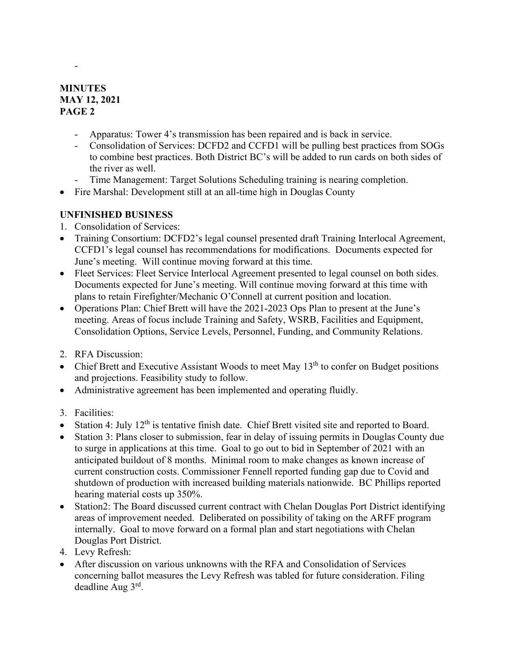## **MINUTES MAY 12, 2021 PAGE 2**

- Apparatus: Tower 4's transmission has been repaired and is back in service.
- Consolidation of Services: DCFD2 and CCFD1 will be pulling best practices from SOGs to combine best practices. Both District BC's will be added to run cards on both sides of the river as well.
- Time Management: Target Solutions Scheduling training is nearing completion.
- Fire Marshal: Development still at an all-time high in Douglas County

# **UNFINISHED BUSINESS**

- 1. Consolidation of Services:
- Training Consortium: DCFD2's legal counsel presented draft Training Interlocal Agreement, CCFD1's legal counsel has recommendations for modifications. Documents expected for June's meeting. Will continue moving forward at this time.
- Fleet Services: Fleet Service Interlocal Agreement presented to legal counsel on both sides. Documents expected for June's meeting. Will continue moving forward at this time with plans to retain Firefighter/Mechanic O'Connell at current position and location.
- Operations Plan: Chief Brett will have the 2021-2023 Ops Plan to present at the June's meeting. Areas of focus include Training and Safety, WSRB, Facilities and Equipment, Consolidation Options, Service Levels, Personnel, Funding, and Community Relations.
- 2. RFA Discussion:
- Chief Brett and Executive Assistant Woods to meet May  $13<sup>th</sup>$  to confer on Budget positions and projections. Feasibility study to follow.
- Administrative agreement has been implemented and operating fluidly.
- 3. Facilities:
- Station 4: July 12<sup>th</sup> is tentative finish date. Chief Brett visited site and reported to Board.
- Station 3: Plans closer to submission, fear in delay of issuing permits in Douglas County due to surge in applications at this time. Goal to go out to bid in September of 2021 with an anticipated buildout of 8 months. Minimal room to make changes as known increase of current construction costs. Commissioner Fennell reported funding gap due to Covid and shutdown of production with increased building materials nationwide. BC Phillips reported hearing material costs up 350%.
- Station2: The Board discussed current contract with Chelan Douglas Port District identifying areas of improvement needed. Deliberated on possibility of taking on the ARFF program internally. Goal to move forward on a formal plan and start negotiations with Chelan Douglas Port District.
- 4. Levy Refresh:
- After discussion on various unknowns with the RFA and Consolidation of Services concerning ballot measures the Levy Refresh was tabled for future consideration. Filing deadline Aug 3rd.

-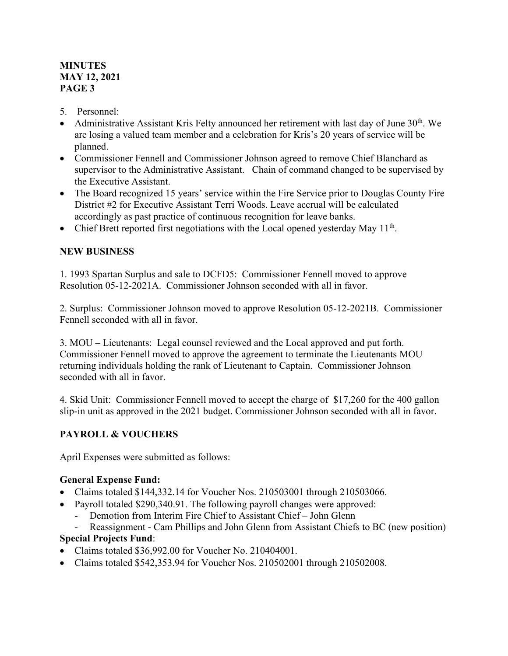## **MINUTES MAY 12, 2021 PAGE 3**

- 5. Personnel:
- Administrative Assistant Kris Felty announced her retirement with last day of June  $30<sup>th</sup>$ . We are losing a valued team member and a celebration for Kris's 20 years of service will be planned.
- Commissioner Fennell and Commissioner Johnson agreed to remove Chief Blanchard as supervisor to the Administrative Assistant. Chain of command changed to be supervised by the Executive Assistant.
- The Board recognized 15 years' service within the Fire Service prior to Douglas County Fire District #2 for Executive Assistant Terri Woods. Leave accrual will be calculated accordingly as past practice of continuous recognition for leave banks.
- $\bullet$  Chief Brett reported first negotiations with the Local opened yesterday May 11<sup>th</sup>.

## **NEW BUSINESS**

1. 1993 Spartan Surplus and sale to DCFD5: Commissioner Fennell moved to approve Resolution 05-12-2021A. Commissioner Johnson seconded with all in favor.

2. Surplus: Commissioner Johnson moved to approve Resolution 05-12-2021B. Commissioner Fennell seconded with all in favor.

3. MOU – Lieutenants: Legal counsel reviewed and the Local approved and put forth. Commissioner Fennell moved to approve the agreement to terminate the Lieutenants MOU returning individuals holding the rank of Lieutenant to Captain. Commissioner Johnson seconded with all in favor.

4. Skid Unit: Commissioner Fennell moved to accept the charge of \$17,260 for the 400 gallon slip-in unit as approved in the 2021 budget. Commissioner Johnson seconded with all in favor.

# **PAYROLL & VOUCHERS**

April Expenses were submitted as follows:

## **General Expense Fund:**

- Claims totaled \$144,332.14 for Voucher Nos. 210503001 through 210503066.
- Payroll totaled \$290,340.91. The following payroll changes were approved:
	- Demotion from Interim Fire Chief to Assistant Chief John Glenn
	- Reassignment Cam Phillips and John Glenn from Assistant Chiefs to BC (new position)

# **Special Projects Fund**:

- Claims totaled \$36,992.00 for Voucher No. 210404001.
- Claims totaled \$542,353.94 for Voucher Nos. 210502001 through 210502008.